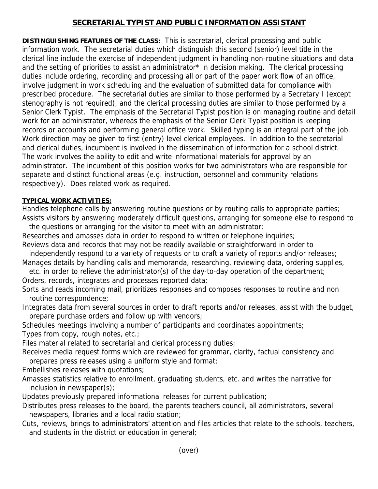## **SECRETARIAL TYPIST AND PUBLIC INFORMATION ASSISTANT**

**DISTINGUISHING FEATURES OF THE CLASS:** This is secretarial, clerical processing and public information work. The secretarial duties which distinguish this second (senior) level title in the clerical line include the exercise of independent judgment in handling non-routine situations and data and the setting of priorities to assist an administrator\* in decision making. The clerical processing duties include ordering, recording and processing all or part of the paper work flow of an office, involve judgment in work scheduling and the evaluation of submitted data for compliance with prescribed procedure. The secretarial duties are similar to those performed by a Secretary I (except stenography is not required), and the clerical processing duties are similar to those performed by a Senior Clerk Typist. The emphasis of the Secretarial Typist position is on managing routine and detail work for an administrator, whereas the emphasis of the Senior Clerk Typist position is keeping records or accounts and performing general office work. Skilled typing is an integral part of the job. Work direction may be given to first (entry) level clerical employees. In addition to the secretarial and clerical duties, incumbent is involved in the dissemination of information for a school district. The work involves the ability to edit and write informational materials for approval by an administrator. The incumbent of this position works for two administrators who are responsible for separate and distinct functional areas (e.g. instruction, personnel and community relations respectively). Does related work as required.

## **TYPICAL WORK ACTIVITIES:**

Handles telephone calls by answering routine questions or by routing calls to appropriate parties; Assists visitors by answering moderately difficult questions, arranging for someone else to respond to

 the questions or arranging for the visitor to meet with an administrator; Researches and amasses data in order to respond to written or telephone inquiries; Reviews data and records that may not be readily available or straightforward in order to

 independently respond to a variety of requests or to draft a variety of reports and/or releases; Manages details by handling calls and memoranda, researching, reviewing data, ordering supplies,

 etc. in order to relieve the administrator(s) of the day-to-day operation of the department; Orders, records, integrates and processes reported data;

Sorts and reads incoming mail, prioritizes responses and composes responses to routine and non routine correspondence;

Integrates data from several sources in order to draft reports and/or releases, assist with the budget, prepare purchase orders and follow up with vendors;

Schedules meetings involving a number of participants and coordinates appointments; Types from copy, rough notes, etc.;

Files material related to secretarial and clerical processing duties;

Receives media request forms which are reviewed for grammar, clarity, factual consistency and prepares press releases using a uniform style and format;

Embellishes releases with quotations;

Amasses statistics relative to enrollment, graduating students, etc. and writes the narrative for inclusion in newspaper(s);

Updates previously prepared informational releases for current publication;

Distributes press releases to the board, the parents teachers council, all administrators, several newspapers, libraries and a local radio station;

Cuts, reviews, brings to administrators' attention and files articles that relate to the schools, teachers, and students in the district or education in general;